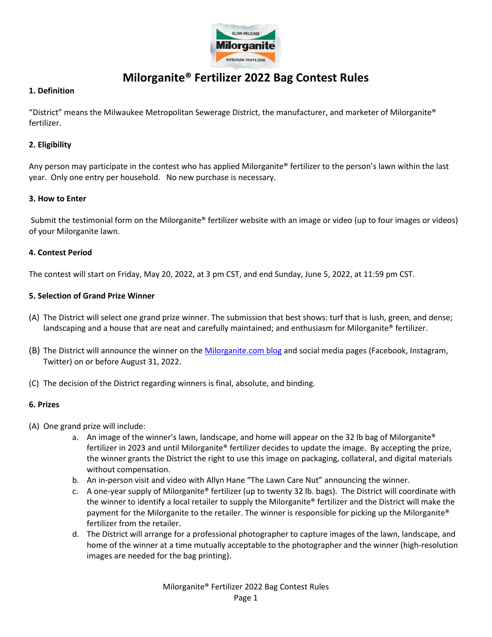

# **Milorganite® Fertilizer 2022 Bag Contest Rules**

# **1. Definition**

"District" means the Milwaukee Metropolitan Sewerage District, the manufacturer, and marketer of Milorganite® fertilizer.

# **2. Eligibility**

Any person may participate in the contest who has applied Milorganite® fertilizer to the person's lawn within the last year. Only one entry per household. No new purchase is necessary.

# **3. How to Enter**

Submit the testimonial form on the Milorganite® fertilizer website with an image or video (up to four images or videos) of your Milorganite lawn.

# **4. Contest Period**

The contest will start on Friday, May 20, 2022, at 3 pm CST, and end Sunday, June 5, 2022, at 11:59 pm CST.

# **5. Selection of Grand Prize Winner**

- (A) The District will select one grand prize winner. The submission that best shows: turf that is lush, green, and dense; landscaping and a house that are neat and carefully maintained; and enthusiasm for Milorganite® fertilizer.
- (B) The District will announce the winner on the [Milorganite.com](https://www.milorganite.com/blog) blog and social media pages (Facebook, Instagram, Twitter) on or before August 31, 2022.
- (C) The decision of the District regarding winners is final, absolute, and binding.

## **6. Prizes**

- (A) One grand prize will include:
	- a. An image of the winner's lawn, landscape, and home will appear on the 32 lb bag of Milorganite® fertilizer in 2023 and until Milorganite® fertilizer decides to update the image. By accepting the prize, the winner grants the District the right to use this image on packaging, collateral, and digital materials without compensation.
	- b. An in-person visit and video with Allyn Hane "The Lawn Care Nut" announcing the winner.
	- c. A one-year supply of Milorganite® fertilizer (up to twenty 32 lb. bags). The District will coordinate with the winner to identify a local retailer to supply the Milorganite® fertilizer and the District will make the payment for the Milorganite to the retailer. The winner is responsible for picking up the Milorganite® fertilizer from the retailer.
	- d. The District will arrange for a professional photographer to capture images of the lawn, landscape, and home of the winner at a time mutually acceptable to the photographer and the winner (high-resolution images are needed for the bag printing).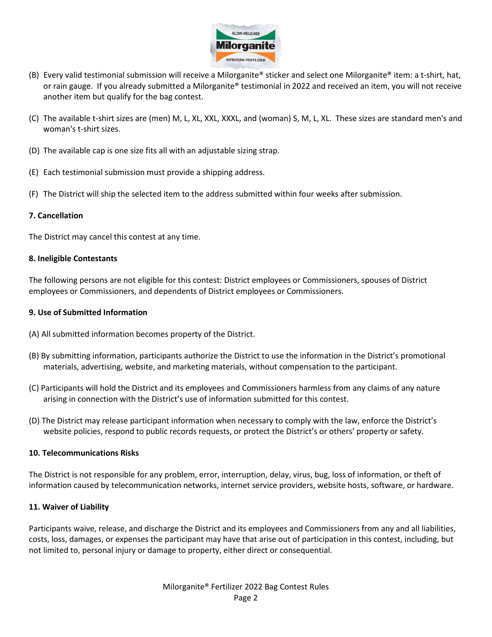

- (B) Every valid testimonial submission will receive a Milorganite® sticker and select one Milorganite® item: a t-shirt, hat, or rain gauge. If you already submitted a Milorganite® testimonial in 2022 and received an item, you will not receive another item but qualify for the bag contest.
- (C) The available t-shirt sizes are (men) M, L, XL, XXL, XXXL, and (woman) S, M, L, XL. These sizes are standard men's and woman's t-shirt sizes.
- (D) The available cap is one size fits all with an adjustable sizing strap.
- (E) Each testimonial submission must provide a shipping address.
- (F) The District will ship the selected item to the address submitted within four weeks after submission.

#### **7. Cancellation**

The District may cancel this contest at any time.

#### **8. Ineligible Contestants**

The following persons are not eligible for this contest: District employees or Commissioners, spouses of District employees or Commissioners, and dependents of District employees or Commissioners.

#### **9. Use of Submitted Information**

- (A) All submitted information becomes property of the District.
- (B) By submitting information, participants authorize the District to use the information in the District's promotional materials, advertising, website, and marketing materials, without compensation to the participant.
- (C) Participants will hold the District and its employees and Commissioners harmless from any claims of any nature arising in connection with the District's use of information submitted for this contest.
- (D) The District may release participant information when necessary to comply with the law, enforce the District's website policies, respond to public records requests, or protect the District's or others' property or safety.

#### **10. Telecommunications Risks**

The District is not responsible for any problem, error, interruption, delay, virus, bug, loss of information, or theft of information caused by telecommunication networks, internet service providers, website hosts, software, or hardware.

## **11. Waiver of Liability**

Participants waive, release, and discharge the District and its employees and Commissioners from any and all liabilities, costs, loss, damages, or expenses the participant may have that arise out of participation in this contest, including, but not limited to, personal injury or damage to property, either direct or consequential.